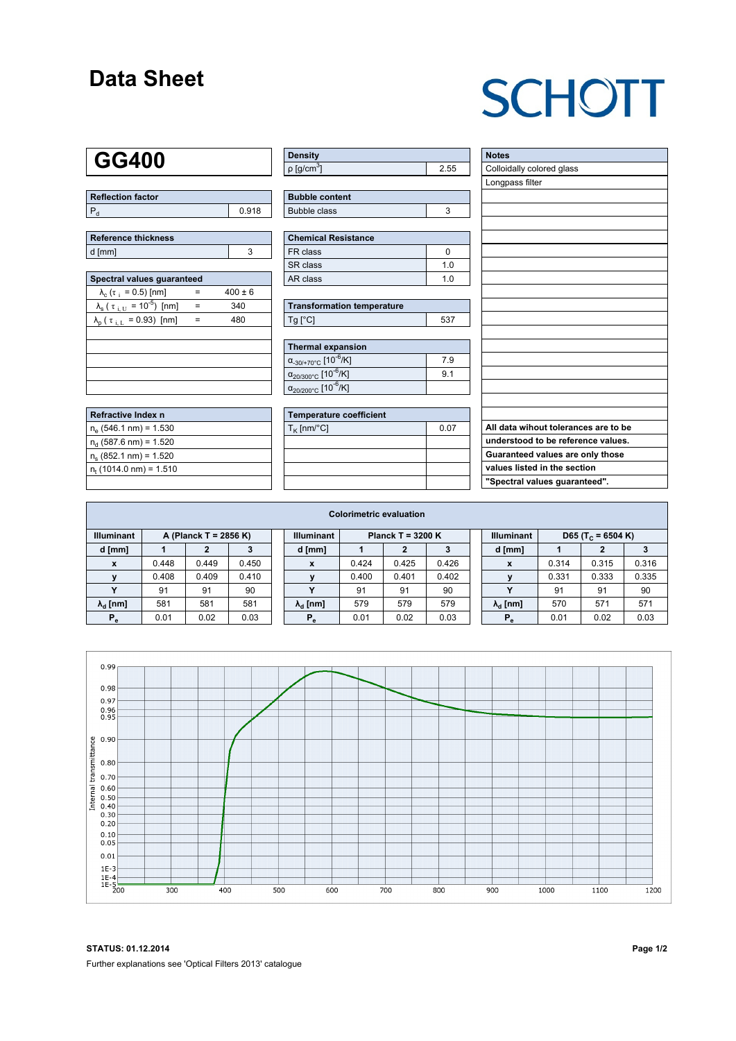### **Data Sheet**

# **SCHOTT**

### **GG400**

| Reflection factor |       |  |  |  |  |  |
|-------------------|-------|--|--|--|--|--|
|                   | 0.918 |  |  |  |  |  |

| Reference thickness |  |  |  |  |  |  |  |
|---------------------|--|--|--|--|--|--|--|
| d [mm]              |  |  |  |  |  |  |  |

| Spectral values quaranteed                                     |     |             |  |  |  |  |  |  |  |
|----------------------------------------------------------------|-----|-------------|--|--|--|--|--|--|--|
| $\lambda_c$ ( $\tau_i$ = 0.5) [nm]                             |     | $400 \pm 6$ |  |  |  |  |  |  |  |
| $\lambda_{\rm s}$ ( $\tau_{\rm i,U}$ = 10 <sup>-5</sup> ) [nm] | $=$ | 340         |  |  |  |  |  |  |  |
| $\lambda_{\rm p}$ ( $\tau_{\rm i, L}$ = 0.93) [nm]             |     | 480         |  |  |  |  |  |  |  |
|                                                                |     |             |  |  |  |  |  |  |  |
|                                                                |     |             |  |  |  |  |  |  |  |
|                                                                |     |             |  |  |  |  |  |  |  |
|                                                                |     |             |  |  |  |  |  |  |  |
|                                                                |     |             |  |  |  |  |  |  |  |

| Refractive Index n          |  |
|-----------------------------|--|
| $n_e$ (546.1 nm) = 1.530    |  |
| $n_d$ (587.6 nm) = 1.520    |  |
| $n_e$ (852.1 nm) = 1.520    |  |
| $n_{t}$ (1014.0 nm) = 1.510 |  |
|                             |  |

| <b>Density</b>              |  |
|-----------------------------|--|
| $\rho$ [g/cm <sup>3</sup> ] |  |

| <b>Bubble content</b> |  |
|-----------------------|--|
| Bubble class          |  |

| <b>Chemical Resistance</b> |     |  |  |  |  |
|----------------------------|-----|--|--|--|--|
| FR class                   |     |  |  |  |  |
| l SR class                 | 1 N |  |  |  |  |
| l AR class                 | 1 በ |  |  |  |  |

| <b>Transformation temperature</b> |     |
|-----------------------------------|-----|
| $Ta$ $C1$                         | 537 |

| Thermal expansion                                 |     |
|---------------------------------------------------|-----|
| $\alpha_{-30/+70\degree}$ c [10 <sup>-6</sup> /K] | 7.9 |
| $\alpha_{20/300^{\circ}C}$ [10 $^{-6}$ /K]        | 91  |
| $\alpha_{20/200^{\circ}C}$ [10 <sup>-6</sup> /K]  |     |

| Temperature coefficient |      |  |  |  |  |  |
|-------------------------|------|--|--|--|--|--|
| $T_{\rm K}$ [nm/°C]     | 0.07 |  |  |  |  |  |
|                         |      |  |  |  |  |  |
|                         |      |  |  |  |  |  |
|                         |      |  |  |  |  |  |
|                         |      |  |  |  |  |  |

| <b>Notes</b>                         |
|--------------------------------------|
| Colloidally colored glass            |
| Longpass filter                      |
|                                      |
|                                      |
|                                      |
|                                      |
|                                      |
|                                      |
|                                      |
|                                      |
|                                      |
|                                      |
|                                      |
|                                      |
|                                      |
|                                      |
|                                      |
|                                      |
|                                      |
| All data wihout tolerances are to be |
| understood to be reference values.   |
| Guaranteed values are only those     |
| values listed in the section         |
| "Spectral values guaranteed".        |

| <b>Colorimetric evaluation</b>             |       |       |       |                                          |                        |       |       |                   |  |                               |       |       |       |
|--------------------------------------------|-------|-------|-------|------------------------------------------|------------------------|-------|-------|-------------------|--|-------------------------------|-------|-------|-------|
| <b>Illuminant</b><br>A (Planck T = 2856 K) |       |       |       | <b>Illuminant</b><br>Planck T = $3200 K$ |                        |       |       | <b>Illuminant</b> |  | D65 (T <sub>c</sub> = 6504 K) |       |       |       |
| d [mm]                                     |       |       |       |                                          | d [mm]                 |       |       | د.                |  | d [mm]                        |       | 2     |       |
| $\mathbf{x}$                               | 0.448 | 0.449 | 0.450 |                                          | x                      | 0.424 | 0.425 | 0.426             |  | X                             | 0.314 | 0.315 | 0.316 |
|                                            | 0.408 | 0.409 | 0.410 |                                          |                        | 0.400 | 0.401 | 0.402             |  |                               | 0.331 | 0.333 | 0.335 |
|                                            | 91    | 91    | 90    |                                          | v                      | 91    | 91    | 90                |  | $\checkmark$                  | 91    | 91    | 90    |
| $\lambda_{\rm d}$ [nm]                     | 581   | 581   | 581   |                                          | $\lambda_{\rm d}$ [nm] | 579   | 579   | 579               |  | $\lambda_{\rm d}$ [nm]        | 570   | 571   | 571   |
| $P_e$                                      | 0.01  | 0.02  | 0.03  |                                          | $P_{\alpha}$           | 0.01  | 0.02  | 0.03              |  | $P_e$                         | 0.01  | 0.02  | 0.03  |
|                                            |       |       |       |                                          |                        |       |       |                   |  |                               |       |       |       |



**STATUS: 01.12.2014 Page 1/2** Further explanations see 'Optical Filters 2013' catalogue